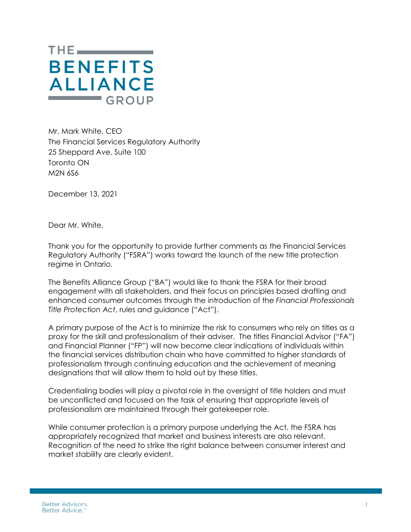

Mr. Mark White, CEO The Financial Services Regulatory Authority 25 Sheppard Ave, Suite 100 Toronto ON M2N 6S6

December 13, 2021

Dear Mr. White,

Thank you for the opportunity to provide further comments as the Financial Services Regulatory Authority ("FSRA") works toward the launch of the new title protection regime in Ontario.

The Benefits Alliance Group ("BA") would like to thank the FSRA for their broad engagement with all stakeholders, and their focus on principles based drafting and enhanced consumer outcomes through the introduction of the *Financial Professionals Title Protection Act*, rules and guidance ("Act").

A primary purpose of the Act is to minimize the risk to consumers who rely on titles as a proxy for the skill and professionalism of their adviser. The titles Financial Advisor ("FA") and Financial Planner ("FP") will now become clear indications of individuals within the financial services distribution chain who have committed to higher standards of professionalism through continuing education and the achievement of meaning designations that will allow them to hold out by these titles.

Credentialing bodies will play a pivotal role in the oversight of title holders and must be unconflicted and focused on the task of ensuring that appropriate levels of professionalism are maintained through their gatekeeper role.

While consumer protection is a primary purpose underlying the Act, the FSRA has appropriately recognized that market and business interests are also relevant. Recognition of the need to strike the right balance between consumer interest and market stability are clearly evident.